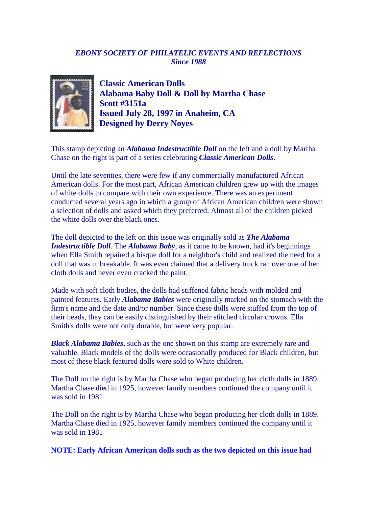## *EBONY SOCIETY OF PHILATELIC EVENTS AND REFLECTIONS Since 1988*



**Classic American Dolls Alabama Baby Doll & Doll by Martha Chase Scott #3151a Issued July 28, 1997 in Anaheim, CA Designed by Derry Noyes**

This stamp depicting an *Alabama Indestructible Doll* on the left and a doll by Martha Chase on the right is part of a series celebrating *Classic American Dolls*.

Until the late seventies, there were few if any commercially manufactured African American dolls. For the most part, African American children grew up with the images of white dolls to compare with their own experience. There was an experiment conducted several years ago in which a group of African American children were shown a selection of dolls and asked which they preferred. Almost all of the children picked the white dolls over the black ones.

The doll depicted to the left on this issue was originally sold as *The Alabama Indestructible Doll*. The *Alabama Baby*, as it came to be known, had it's beginnings when Ella Smith repaired a bisque doll for a neighbor's child and realized the need for a doll that was unbreakable. It was even claimed that a delivery truck ran over one of her cloth dolls and never even cracked the paint.

Made with soft cloth bodies, the dolls had stiffened fabric heads with molded and painted features. Early *Alabama Babies* were originally marked on the stomach with the firm's name and the date and/or number. Since these dolls were stuffed from the top of their heads, they can be easily distinguished by their stitched circular crowns. Ella Smith's dolls were not only durable, but were very popular.

*Black Alabama Babies*, such as the one shown on this stamp are extremely rare and valuable. Black models of the dolls were occasionally produced for Black children, but most of these black featured dolls were sold to White children.

The Doll on the right is by Martha Chase who began producing her cloth dolls in 1889. Martha Chase died in 1925, however family members continued the company until it was sold in 1981

The Doll on the right is by Martha Chase who began producing her cloth dolls in 1889. Martha Chase died in 1925, however family members continued the company until it was sold in 1981

**NOTE: Early African American dolls such as the two depicted on this issue had**